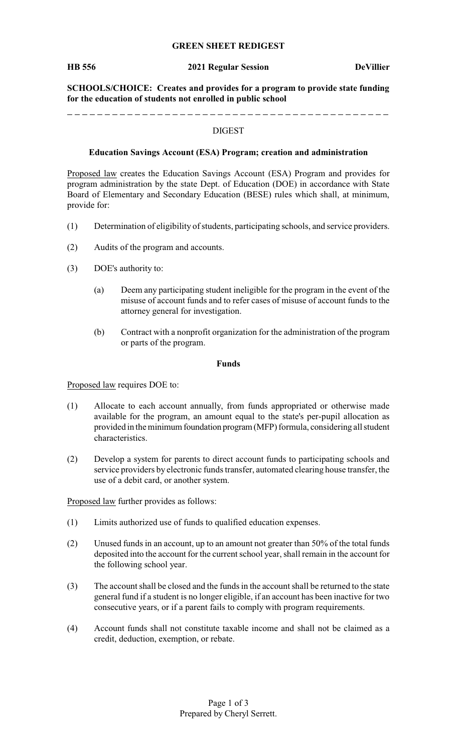#### **GREEN SHEET REDIGEST**

#### **HB 556 2021 Regular Session DeVillier**

**SCHOOLS/CHOICE: Creates and provides for a program to provide state funding for the education of students not enrolled in public school**

#### DIGEST

#### **Education Savings Account (ESA) Program; creation and administration**

Proposed law creates the Education Savings Account (ESA) Program and provides for program administration by the state Dept. of Education (DOE) in accordance with State Board of Elementary and Secondary Education (BESE) rules which shall, at minimum, provide for:

- (1) Determination of eligibility of students, participating schools, and service providers.
- (2) Audits of the program and accounts.
- (3) DOE's authority to:
	- (a) Deem any participating student ineligible for the program in the event of the misuse of account funds and to refer cases of misuse of account funds to the attorney general for investigation.
	- (b) Contract with a nonprofit organization for the administration of the program or parts of the program.

#### **Funds**

Proposed law requires DOE to:

- (1) Allocate to each account annually, from funds appropriated or otherwise made available for the program, an amount equal to the state's per-pupil allocation as provided in the minimum foundation program (MFP) formula, considering all student characteristics.
- (2) Develop a system for parents to direct account funds to participating schools and service providers by electronic funds transfer, automated clearing house transfer, the use of a debit card, or another system.

Proposed law further provides as follows:

- (1) Limits authorized use of funds to qualified education expenses.
- (2) Unused funds in an account, up to an amount not greater than 50% of the total funds deposited into the account for the current school year, shall remain in the account for the following school year.
- (3) The account shall be closed and the funds in the account shall be returned to the state general fund if a student is no longer eligible, if an account has been inactive for two consecutive years, or if a parent fails to comply with program requirements.
- (4) Account funds shall not constitute taxable income and shall not be claimed as a credit, deduction, exemption, or rebate.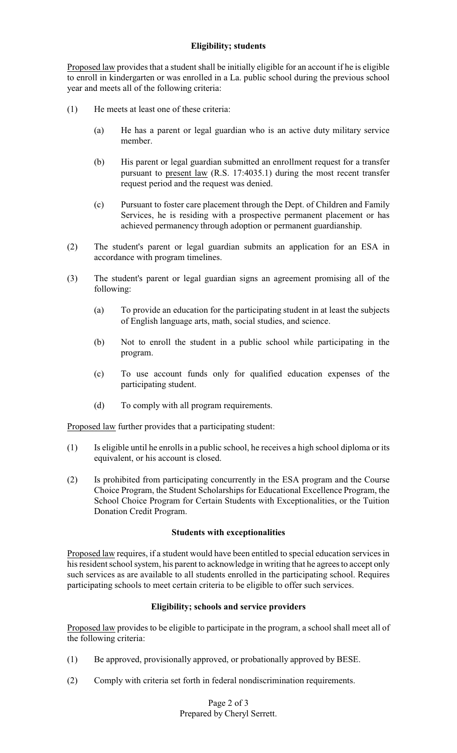# **Eligibility; students**

Proposed law provides that a student shall be initially eligible for an account if he is eligible to enroll in kindergarten or was enrolled in a La. public school during the previous school year and meets all of the following criteria:

- (1) He meets at least one of these criteria:
	- (a) He has a parent or legal guardian who is an active duty military service member.
	- (b) His parent or legal guardian submitted an enrollment request for a transfer pursuant to present law (R.S. 17:4035.1) during the most recent transfer request period and the request was denied.
	- (c) Pursuant to foster care placement through the Dept. of Children and Family Services, he is residing with a prospective permanent placement or has achieved permanency through adoption or permanent guardianship.
- (2) The student's parent or legal guardian submits an application for an ESA in accordance with program timelines.
- (3) The student's parent or legal guardian signs an agreement promising all of the following:
	- (a) To provide an education for the participating student in at least the subjects of English language arts, math, social studies, and science.
	- (b) Not to enroll the student in a public school while participating in the program.
	- (c) To use account funds only for qualified education expenses of the participating student.
	- (d) To comply with all program requirements.

Proposed law further provides that a participating student:

- (1) Is eligible until he enrolls in a public school, he receives a high school diploma or its equivalent, or his account is closed.
- (2) Is prohibited from participating concurrently in the ESA program and the Course Choice Program, the Student Scholarships for Educational Excellence Program, the School Choice Program for Certain Students with Exceptionalities, or the Tuition Donation Credit Program.

## **Students with exceptionalities**

Proposed law requires, if a student would have been entitled to special education services in his resident school system, his parent to acknowledge in writing that he agrees to accept only such services as are available to all students enrolled in the participating school. Requires participating schools to meet certain criteria to be eligible to offer such services.

# **Eligibility; schools and service providers**

Proposed law provides to be eligible to participate in the program, a school shall meet all of the following criteria:

- (1) Be approved, provisionally approved, or probationally approved by BESE.
- (2) Comply with criteria set forth in federal nondiscrimination requirements.